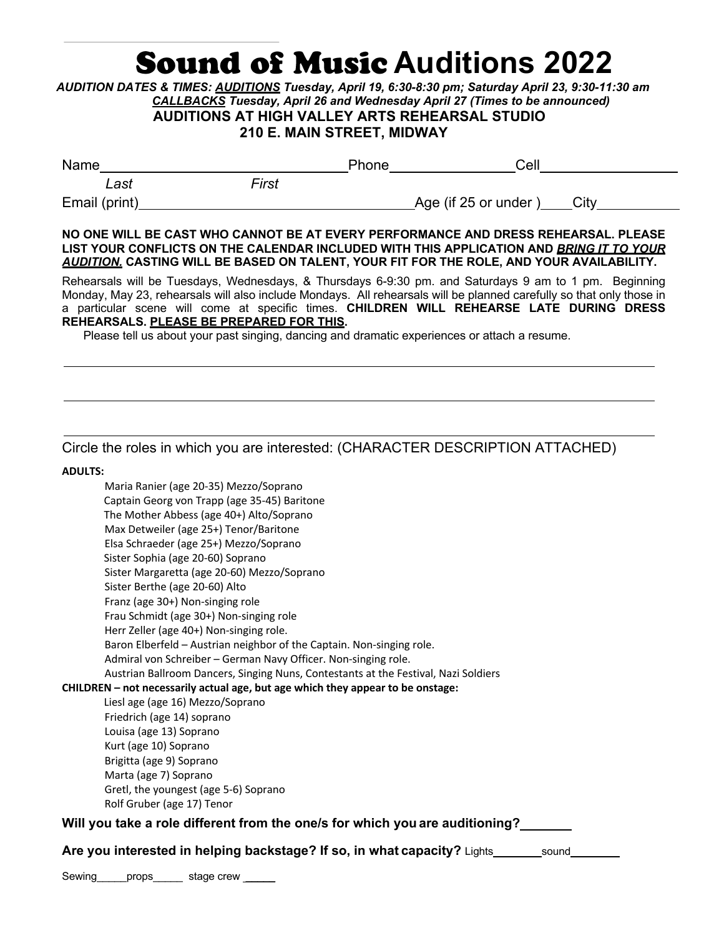## **Sound of Music Auditions 2022**

*AUDITION DATES & TIMES: AUDITIONS Tuesday, April 19, 6:30-8:30 pm; Saturday April 23, 9:30-11:30 am CALLBACKS Tuesday, April 26 and Wednesday April 27 (Times to be announced)*  **AUDITIONS AT HIGH VALLEY ARTS REHEARSAL STUDIO 210 E. MAIN STREET, MIDWAY**

| Name          |       | Phone | Cell                         |  |
|---------------|-------|-------|------------------------------|--|
| Last          | First |       |                              |  |
| Email (print) |       |       | Age (if 25 or under)<br>City |  |
|               |       |       |                              |  |

**NO ONE WILL BE CAST WHO CANNOT BE AT EVERY PERFORMANCE AND DRESS REHEARSAL. PLEASE LIST YOUR CONFLICTS ON THE CALENDAR INCLUDED WITH THIS APPLICATION AND** *BRING IT TO YOUR AUDITION.* **CASTING WILL BE BASED ON TALENT, YOUR FIT FOR THE ROLE, AND YOUR AVAILABILITY.**

Rehearsals will be Tuesdays, Wednesdays, & Thursdays 6-9:30 pm. and Saturdays 9 am to 1 pm. Beginning Monday, May 23, rehearsals will also include Mondays. All rehearsals will be planned carefully so that only those in a particular scene will come at specific times. **CHILDREN WILL REHEARSE LATE DURING DRESS REHEARSALS. PLEASE BE PREPARED FOR THIS.**

Please tell us about your past singing, dancing and dramatic experiences or attach a resume.

## Circle the roles in which you are interested: (CHARACTER DESCRIPTION ATTACHED)

**ADULTS:**

Maria Ranier (age 20-35) Mezzo/Soprano Captain Georg von Trapp (age 35-45) Baritone The Mother Abbess (age 40+) Alto/Soprano Max Detweiler (age 25+) Tenor/Baritone Elsa Schraeder (age 25+) Mezzo/Soprano Sister Sophia (age 20-60) Soprano Sister Margaretta (age 20-60) Mezzo/Soprano Sister Berthe (age 20-60) Alto Franz (age 30+) Non-singing role Frau Schmidt (age 30+) Non-singing role Herr Zeller (age 40+) Non-singing role. Baron Elberfeld – Austrian neighbor of the Captain. Non-singing role. Admiral von Schreiber – German Navy Officer. Non-singing role. Austrian Ballroom Dancers, Singing Nuns, Contestants at the Festival, Nazi Soldiers **CHILDREN – not necessarily actual age, but age which they appear to be onstage:** Liesl age (age 16) Mezzo/Soprano Friedrich (age 14) soprano Louisa (age 13) Soprano Kurt (age 10) Soprano Brigitta (age 9) Soprano Marta (age 7) Soprano Gretl, the youngest (age 5-6) Soprano Rolf Gruber (age 17) Tenor **Will you take a role different from the one/s for which you are auditioning?**

**Are you interested in helping backstage? If so, in what capacity? Lights sound sound** 

Sewing props stage crew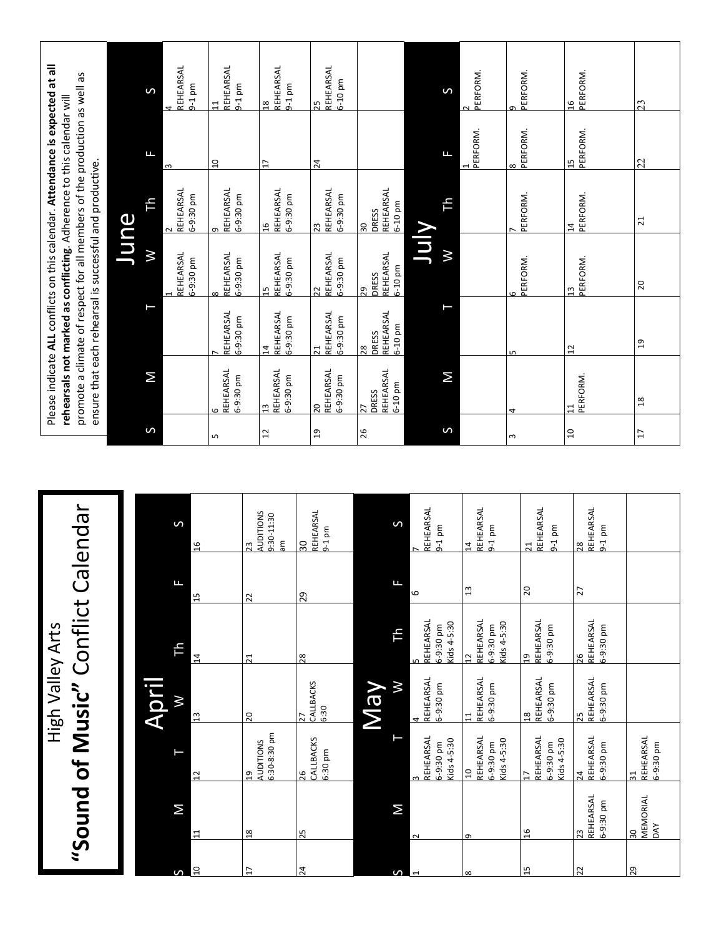| Please indicate ALL conflicts on this calendar. Attendance is expected at all<br>promote a climate of respect for all members of the production as well as<br>rehearsals not marked as conflicting. Adherence to this calendar will<br>ensure that each rehearsal is successful and productive.<br>Calendar<br>High Valley Arts | June | S<br>Щ<br>Тh<br>Μ<br>М<br>$\sigma$ | REHEARSAL<br>$9-1$ pm<br>ω<br>REHEARSAL<br>6-9:30 pm<br>$\sim$<br>REHEARSAL<br>6-9:30 pm<br>S<br>$\frac{9}{16}$<br>F<br>$\frac{1}{1}$<br>╘<br>$\overline{14}$<br>$\geq$<br>$\frac{2}{1}$ | REHEARSAL<br>$9-1$ pm<br>$\overline{1}$<br>$\frac{1}{1}$<br>REHEARSAL<br>6-9:30 pm<br>c<br>REHEARSAL<br>6-9:30 pm<br>$\infty$<br>REHEARSAL<br>6-9:30 pm<br>REHEARSAL<br>5-9:30 pm<br>LN. | <b>AUDITIONS</b><br>$\overline{23}$<br>$\overline{2}$<br>$\overline{21}$<br>20 | REHEARSAL<br>$9-1$ pm<br>$\frac{8}{10}$<br>$\overline{17}$<br>REHEARSAL<br>6-9:30 pm<br>$\frac{16}{1}$<br>REHEARSAL<br>6-9:30 pm<br>15<br>REHEARSAL<br>5-9:30 pm<br>$\overline{4}$<br>REHEARSAL<br>6-9:30 pm<br>$\frac{3}{2}$<br>51<br>9:30-11:30<br>ξ | $\frac{30}{2}$<br>29<br>$\overline{28}$<br>27<br>CALLBACKS | REHEARSAL<br>6-10 pm<br>$\overline{25}$<br>$^{24}$<br>REHEARSAL<br>6-9:30 pm<br>23<br>REHEARSAL<br>6-9:30 pm<br>$\overline{22}$<br>REHEARSAL<br>5-9:30 pm<br>$\overline{21}$<br>REHEARSAL<br>6-9:30 pm<br>$\overline{20}$<br>$\overline{a}$<br>REHEARSAL<br>$9-1$ pm<br>6:30 | DRESS<br>$\frac{30}{ }$<br>DRESS<br>$\overline{29}$<br>DRESS<br>28<br>DRESS<br>27<br>26 | REHEARSAL<br>6-10 pm<br>REHEARSAL<br>6-10 pm<br>REHEARSAL<br>6-10 pm<br>REHEARSAL<br>6-10 pm<br>S<br>Щ<br>부<br>М | VIN<br>REHEARSAL<br>$9-1$ pm<br>$\overline{ }$<br>6<br>REHEARSAL<br>6-9:30 pm<br>5<br>REHEARSAL<br>6-9:30 pm<br>4 | $\mathsf{S}$<br>$\mathbf{H}$<br>Ŧh<br>$\boldsymbol{\mathsf{N}}$<br>Σ<br>S<br>Kids 4-5:30 | PERFORM.<br>$\sim$<br>PERFORM.<br>REHEARSAL<br>$9-1$ pm<br>$\overline{14}$<br>$\mathfrak{a}$<br>REHEARSAL<br>$614 - 5:30$<br>6-9:30 pm<br>$\overline{c}$<br>REHEARSAL<br>6-9:30 pm<br>$\frac{1}{11}$ | PERFORM.<br>c<br>PERFORM.<br>8<br>PERFORM.<br>PERFORM.<br>6<br>ω<br>REHEARSAL<br>$9-1$ pm<br>$\overline{21}$<br>$20\,$<br>REHEARSAL<br>6-9:30 pm<br>g<br>REHEARSAL<br>6-9:30 pm<br>$\frac{8}{18}$ | $\frac{91}{2}$<br>$\frac{15}{1}$<br>$\overline{14}$<br>$\frac{3}{1}$<br>$\overline{12}$<br>급<br>$\overline{a}$ | PERFORM.<br>PERFORM.<br>PERFORM.<br>PERFORM.<br><b>PERFORM.</b><br>REHEARSAL<br>$9-1$ pm<br>$\frac{8}{2}$<br>$\ddot{\sim}$<br>REHEARSAL<br>6-9:30 pm<br>26<br>REHEARSAL<br>6-9:30 pm<br>25 | 23<br>22<br>$\overline{21}$<br>20<br>$\overline{c}$<br>$\frac{8}{1}$<br>$\overline{17}$ |
|---------------------------------------------------------------------------------------------------------------------------------------------------------------------------------------------------------------------------------------------------------------------------------------------------------------------------------|------|------------------------------------|------------------------------------------------------------------------------------------------------------------------------------------------------------------------------------------|------------------------------------------------------------------------------------------------------------------------------------------------------------------------------------------|--------------------------------------------------------------------------------|--------------------------------------------------------------------------------------------------------------------------------------------------------------------------------------------------------------------------------------------------------|------------------------------------------------------------|------------------------------------------------------------------------------------------------------------------------------------------------------------------------------------------------------------------------------------------------------------------------------|-----------------------------------------------------------------------------------------|------------------------------------------------------------------------------------------------------------------|-------------------------------------------------------------------------------------------------------------------|------------------------------------------------------------------------------------------|------------------------------------------------------------------------------------------------------------------------------------------------------------------------------------------------------|---------------------------------------------------------------------------------------------------------------------------------------------------------------------------------------------------|----------------------------------------------------------------------------------------------------------------|--------------------------------------------------------------------------------------------------------------------------------------------------------------------------------------------|-----------------------------------------------------------------------------------------|
|                                                                                                                                                                                                                                                                                                                                 |      |                                    |                                                                                                                                                                                          |                                                                                                                                                                                          |                                                                                |                                                                                                                                                                                                                                                        |                                                            |                                                                                                                                                                                                                                                                              |                                                                                         |                                                                                                                  |                                                                                                                   |                                                                                          |                                                                                                                                                                                                      |                                                                                                                                                                                                   |                                                                                                                |                                                                                                                                                                                            |                                                                                         |
| "Sound of Music" Conflict                                                                                                                                                                                                                                                                                                       |      | April                              | $\overline{1}$<br>Σ<br>11                                                                                                                                                                |                                                                                                                                                                                          | <b>AUDITIONS</b><br>$\overline{a}$<br>$\frac{8}{10}$                           | 5:30-8:30 pm                                                                                                                                                                                                                                           | 26<br>25                                                   | CALLBACKS<br>6:30 pm                                                                                                                                                                                                                                                         | <b>VeW</b>                                                                              | Μ                                                                                                                | REHEARSAL<br>6-9:30 pm<br>$\sim$                                                                                  | $G = 4 - 5:30$                                                                           | REHEARSAL<br>$614 - 5:30$<br>5-9:30 pm<br>$\frac{1}{2}$<br>Φ                                                                                                                                         | REHEARSAL<br>$\zeta$ ids 4-5:30<br>5-9:30 pm<br>$\overline{1}$<br>$\frac{9}{1}$                                                                                                                   |                                                                                                                | REHEARSAL<br>5-9:30 pm<br>24<br>REHEARSAL<br>6-9:30 pm<br>23                                                                                                                               | REHEARSAL<br>$\overline{31}$<br>MEMORIAL<br>DAY<br>$\frac{30}{2}$                       |
|                                                                                                                                                                                                                                                                                                                                 |      |                                    | $\Omega$<br>S                                                                                                                                                                            |                                                                                                                                                                                          | $\overline{1}$                                                                 |                                                                                                                                                                                                                                                        | 24                                                         |                                                                                                                                                                                                                                                                              |                                                                                         | S                                                                                                                |                                                                                                                   |                                                                                          |                                                                                                                                                                                                      | 15                                                                                                                                                                                                |                                                                                                                | 22                                                                                                                                                                                         | 29                                                                                      |

 $\mathbf{I}$